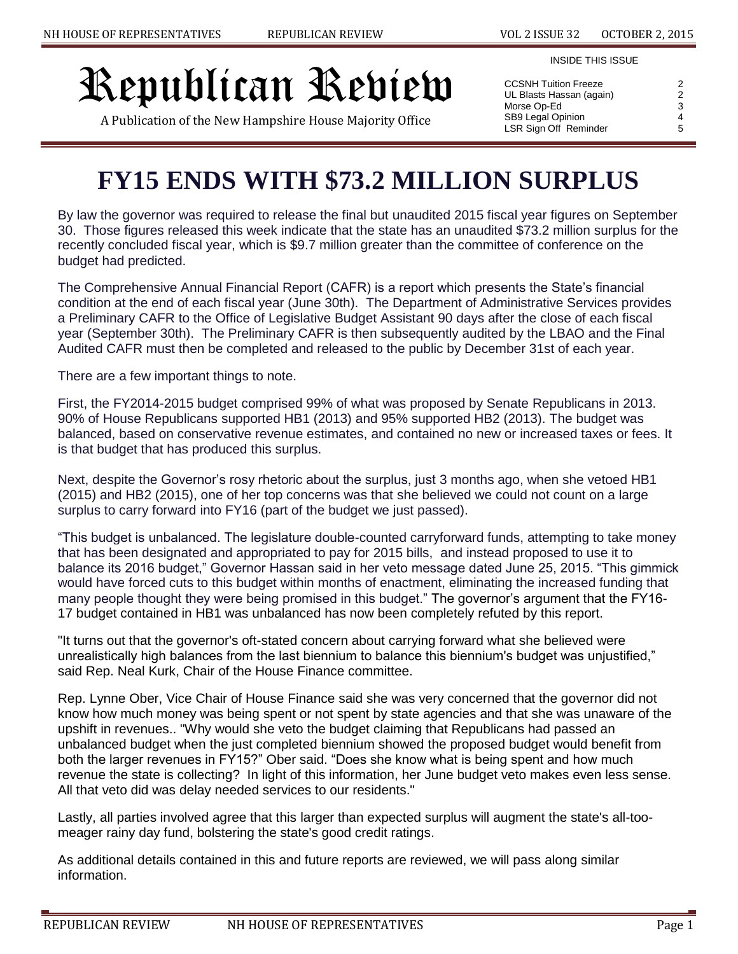#### INSIDE THIS ISSUE

# Republican Review

A Publication of the New Hampshire House Majority Office

| 2 |
|---|
| 2 |
| 3 |
| 4 |
| 5 |
|   |

# **FY15 ENDS WITH \$73.2 MILLION SURPLUS**

By law the governor was required to release the final but unaudited 2015 fiscal year figures on September 30. Those figures released this week indicate that the state has an unaudited \$73.2 million surplus for the recently concluded fiscal year, which is \$9.7 million greater than the committee of conference on the budget had predicted.

The Comprehensive Annual Financial Report (CAFR) is a report which presents the State's financial condition at the end of each fiscal year (June 30th). The Department of Administrative Services provides a Preliminary CAFR to the Office of Legislative Budget Assistant 90 days after the close of each fiscal year (September 30th). The Preliminary CAFR is then subsequently audited by the LBAO and the Final Audited CAFR must then be completed and released to the public by December 31st of each year.

There are a few important things to note.

First, the FY2014-2015 budget comprised 99% of what was proposed by Senate Republicans in 2013. 90% of House Republicans supported HB1 (2013) and 95% supported HB2 (2013). The budget was balanced, based on conservative revenue estimates, and contained no new or increased taxes or fees. It is that budget that has produced this surplus.

Next, despite the Governor's rosy rhetoric about the surplus, just 3 months ago, when she vetoed HB1 (2015) and HB2 (2015), one of her top concerns was that she believed we could not count on a large surplus to carry forward into FY16 (part of the budget we just passed).

"This budget is unbalanced. The legislature double-counted carryforward funds, attempting to take money that has been designated and appropriated to pay for 2015 bills, and instead proposed to use it to balance its 2016 budget," Governor Hassan said in her veto message dated June 25, 2015. "This gimmick would have forced cuts to this budget within months of enactment, eliminating the increased funding that many people thought they were being promised in this budget." The governor's argument that the FY16- 17 budget contained in HB1 was unbalanced has now been completely refuted by this report.

"It turns out that the governor's oft-stated concern about carrying forward what she believed were unrealistically high balances from the last biennium to balance this biennium's budget was unjustified," said Rep. Neal Kurk, Chair of the House Finance committee.

Rep. Lynne Ober, Vice Chair of House Finance said she was very concerned that the governor did not know how much money was being spent or not spent by state agencies and that she was unaware of the upshift in revenues.. "Why would she veto the budget claiming that Republicans had passed an unbalanced budget when the just completed biennium showed the proposed budget would benefit from both the larger revenues in FY15?" Ober said. "Does she know what is being spent and how much revenue the state is collecting? In light of this information, her June budget veto makes even less sense. All that veto did was delay needed services to our residents."

Lastly, all parties involved agree that this larger than expected surplus will augment the state's all-toomeager rainy day fund, bolstering the state's good credit ratings.

As additional details contained in this and future reports are reviewed, we will pass along similar information.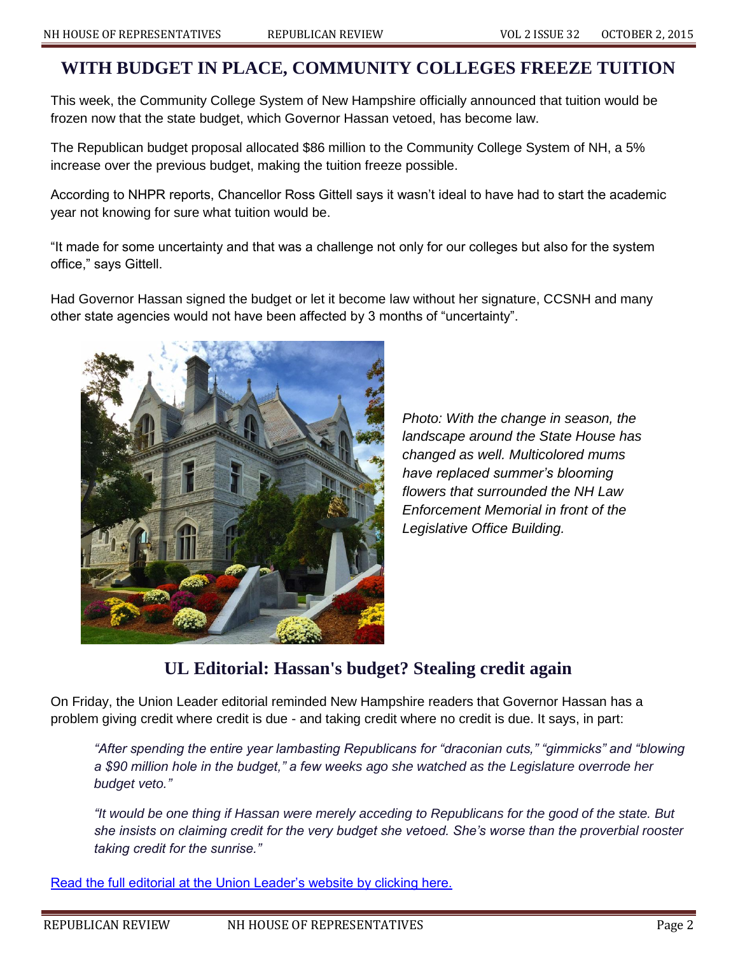### **WITH BUDGET IN PLACE, COMMUNITY COLLEGES FREEZE TUITION**

This week, the Community College System of New Hampshire officially announced that tuition would be frozen now that the state budget, which Governor Hassan vetoed, has become law.

The Republican budget proposal allocated \$86 million to the Community College System of NH, a 5% increase over the previous budget, making the tuition freeze possible.

According to NHPR reports, Chancellor Ross Gittell says it wasn't ideal to have had to start the academic year not knowing for sure what tuition would be.

"It made for some uncertainty and that was a challenge not only for our colleges but also for the system office," says Gittell.

Had Governor Hassan signed the budget or let it become law without her signature, CCSNH and many other state agencies would not have been affected by 3 months of "uncertainty".



*Photo: With the change in season, the landscape around the State House has changed as well. Multicolored mums have replaced summer's blooming flowers that surrounded the NH Law Enforcement Memorial in front of the Legislative Office Building.*

# **UL Editorial: Hassan's budget? Stealing credit again**

On Friday, the Union Leader editorial reminded New Hampshire readers that Governor Hassan has a problem giving credit where credit is due - and taking credit where no credit is due. It says, in part:

*"After spending the entire year lambasting Republicans for "draconian cuts," "gimmicks" and "blowing a \$90 million hole in the budget," a few weeks ago she watched as the Legislature overrode her budget veto."*

*"It would be one thing if Hassan were merely acceding to Republicans for the good of the state. But she insists on claiming credit for the very budget she vetoed. She's worse than the proverbial rooster taking credit for the sunrise."*

[Read the full editorial at the Union Leader's website by clicking here.](http://www.unionleader.com/article/20151002/OPINION01/151009813)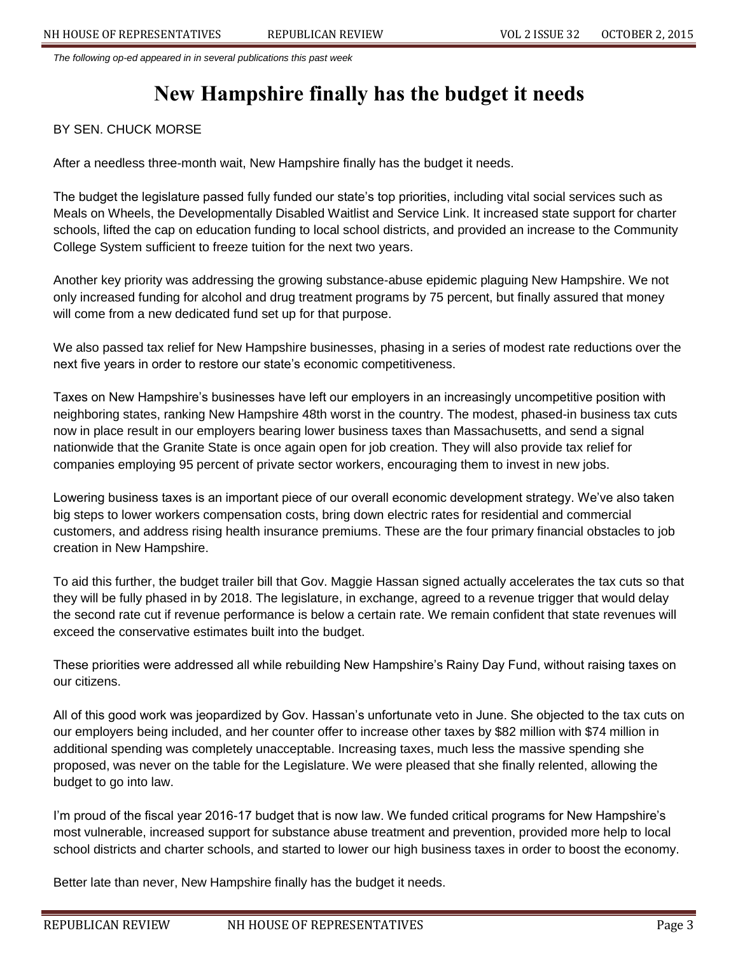*The following op-ed appeared in in several publications this past week*

# **New Hampshire finally has the budget it needs**

#### BY SEN. CHUCK MORSE

After a needless three-month wait, New Hampshire finally has the budget it needs.

The budget the legislature passed fully funded our state's top priorities, including vital social services such as Meals on Wheels, the Developmentally Disabled Waitlist and Service Link. It increased state support for charter schools, lifted the cap on education funding to local school districts, and provided an increase to the Community College System sufficient to freeze tuition for the next two years.

Another key priority was addressing the growing substance-abuse epidemic plaguing New Hampshire. We not only increased funding for alcohol and drug treatment programs by 75 percent, but finally assured that money will come from a new dedicated fund set up for that purpose.

We also passed tax relief for New Hampshire businesses, phasing in a series of modest rate reductions over the next five years in order to restore our state's economic competitiveness.

Taxes on New Hampshire's businesses have left our employers in an increasingly uncompetitive position with neighboring states, ranking New Hampshire 48th worst in the country. The modest, phased-in business tax cuts now in place result in our employers bearing lower business taxes than Massachusetts, and send a signal nationwide that the Granite State is once again open for job creation. They will also provide tax relief for companies employing 95 percent of private sector workers, encouraging them to invest in new jobs.

Lowering business taxes is an important piece of our overall economic development strategy. We've also taken big steps to lower workers compensation costs, bring down electric rates for residential and commercial customers, and address rising health insurance premiums. These are the four primary financial obstacles to job creation in New Hampshire.

To aid this further, the budget trailer bill that Gov. Maggie Hassan signed actually accelerates the tax cuts so that they will be fully phased in by 2018. The legislature, in exchange, agreed to a revenue trigger that would delay the second rate cut if revenue performance is below a certain rate. We remain confident that state revenues will exceed the conservative estimates built into the budget.

These priorities were addressed all while rebuilding New Hampshire's Rainy Day Fund, without raising taxes on our citizens.

All of this good work was jeopardized by Gov. Hassan's unfortunate veto in June. She objected to the tax cuts on our employers being included, and her counter offer to increase other taxes by \$82 million with \$74 million in additional spending was completely unacceptable. Increasing taxes, much less the massive spending she proposed, was never on the table for the Legislature. We were pleased that she finally relented, allowing the budget to go into law.

I'm proud of the fiscal year 2016-17 budget that is now law. We funded critical programs for New Hampshire's most vulnerable, increased support for substance abuse treatment and prevention, provided more help to local school districts and charter schools, and started to lower our high business taxes in order to boost the economy.

Better late than never, New Hampshire finally has the budget it needs.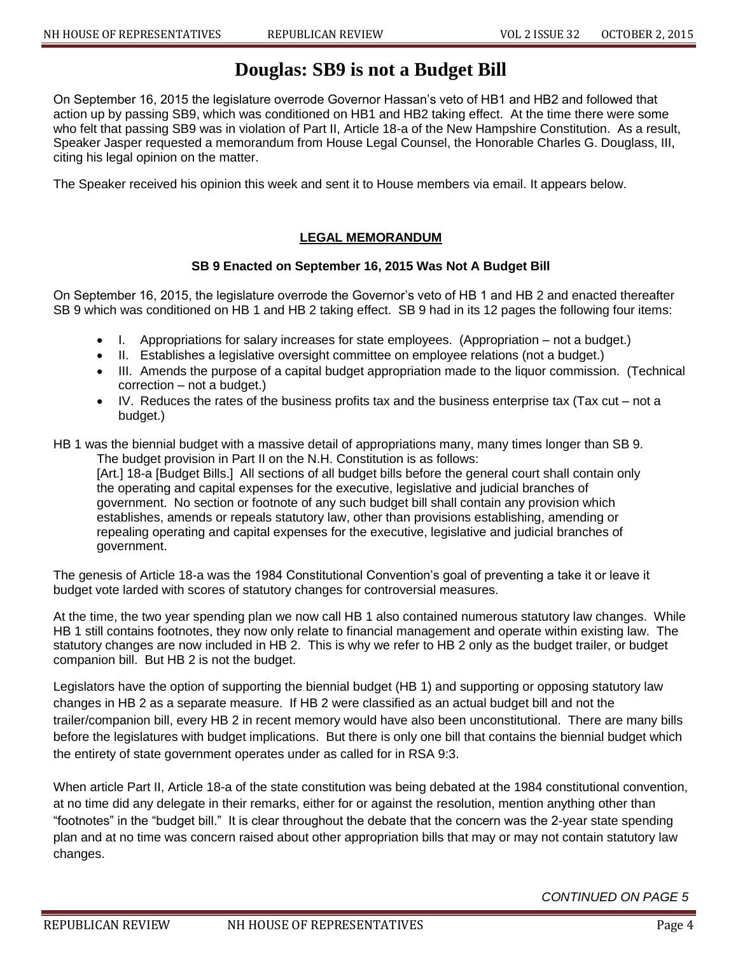## **Douglas: SB9 is not a Budget Bill**

On September 16, 2015 the legislature overrode Governor Hassan's veto of HB1 and HB2 and followed that action up by passing SB9, which was conditioned on HB1 and HB2 taking effect. At the time there were some who felt that passing SB9 was in violation of Part II, Article 18-a of the New Hampshire Constitution. As a result, Speaker Jasper requested a memorandum from House Legal Counsel, the Honorable Charles G. Douglass, III, citing his legal opinion on the matter.

The Speaker received his opinion this week and sent it to House members via email. It appears below.

#### **LEGAL MEMORANDUM**

#### **SB 9 Enacted on September 16, 2015 Was Not A Budget Bill**

On September 16, 2015, the legislature overrode the Governor's veto of HB 1 and HB 2 and enacted thereafter SB 9 which was conditioned on HB 1 and HB 2 taking effect. SB 9 had in its 12 pages the following four items:

- I. Appropriations for salary increases for state employees. (Appropriation not a budget.)
- II. Establishes a legislative oversight committee on employee relations (not a budget.)
- III. Amends the purpose of a capital budget appropriation made to the liquor commission. (Technical correction – not a budget.)
- $\bullet$  IV. Reduces the rates of the business profits tax and the business enterprise tax (Tax cut not a budget.)

HB 1 was the biennial budget with a massive detail of appropriations many, many times longer than SB 9. The budget provision in Part II on the N.H. Constitution is as follows:

[Art.] 18-a [Budget Bills.] All sections of all budget bills before the general court shall contain only the operating and capital expenses for the executive, legislative and judicial branches of government. No section or footnote of any such budget bill shall contain any provision which establishes, amends or repeals statutory law, other than provisions establishing, amending or repealing operating and capital expenses for the executive, legislative and judicial branches of government.

The genesis of Article 18-a was the 1984 Constitutional Convention's goal of preventing a take it or leave it budget vote larded with scores of statutory changes for controversial measures.

At the time, the two year spending plan we now call HB 1 also contained numerous statutory law changes. While HB 1 still contains footnotes, they now only relate to financial management and operate within existing law. The statutory changes are now included in HB 2. This is why we refer to HB 2 only as the budget trailer, or budget companion bill. But HB 2 is not the budget.

Legislators have the option of supporting the biennial budget (HB 1) and supporting or opposing statutory law changes in HB 2 as a separate measure. If HB 2 were classified as an actual budget bill and not the trailer/companion bill, every HB 2 in recent memory would have also been unconstitutional. There are many bills before the legislatures with budget implications. But there is only one bill that contains the biennial budget which the entirety of state government operates under as called for in RSA 9:3.

When article Part II, Article 18-a of the state constitution was being debated at the 1984 constitutional convention, at no time did any delegate in their remarks, either for or against the resolution, mention anything other than "footnotes" in the "budget bill." It is clear throughout the debate that the concern was the 2-year state spending plan and at no time was concern raised about other appropriation bills that may or may not contain statutory law changes.

#### *CONTINUED ON PAGE 5*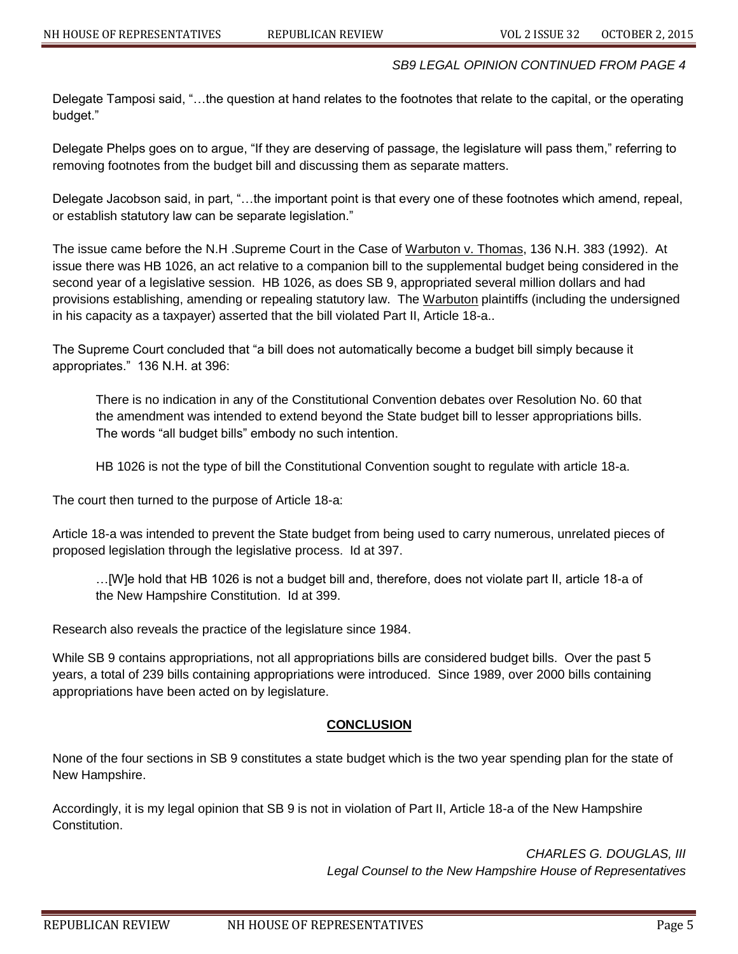#### *SB9 LEGAL OPINION CONTINUED FROM PAGE 4*

Delegate Tamposi said, "…the question at hand relates to the footnotes that relate to the capital, or the operating budget."

Delegate Phelps goes on to argue, "If they are deserving of passage, the legislature will pass them," referring to removing footnotes from the budget bill and discussing them as separate matters.

Delegate Jacobson said, in part, "…the important point is that every one of these footnotes which amend, repeal, or establish statutory law can be separate legislation."

The issue came before the N.H .Supreme Court in the Case of Warbuton v. Thomas, 136 N.H. 383 (1992). At issue there was HB 1026, an act relative to a companion bill to the supplemental budget being considered in the second year of a legislative session. HB 1026, as does SB 9, appropriated several million dollars and had provisions establishing, amending or repealing statutory law. The Warbuton plaintiffs (including the undersigned in his capacity as a taxpayer) asserted that the bill violated Part II, Article 18-a..

The Supreme Court concluded that "a bill does not automatically become a budget bill simply because it appropriates." 136 N.H. at 396:

There is no indication in any of the Constitutional Convention debates over Resolution No. 60 that the amendment was intended to extend beyond the State budget bill to lesser appropriations bills. The words "all budget bills" embody no such intention.

HB 1026 is not the type of bill the Constitutional Convention sought to regulate with article 18-a.

The court then turned to the purpose of Article 18-a:

Article 18-a was intended to prevent the State budget from being used to carry numerous, unrelated pieces of proposed legislation through the legislative process. Id at 397.

…[W]e hold that HB 1026 is not a budget bill and, therefore, does not violate part II, article 18-a of the New Hampshire Constitution. Id at 399.

Research also reveals the practice of the legislature since 1984.

While SB 9 contains appropriations, not all appropriations bills are considered budget bills. Over the past 5 years, a total of 239 bills containing appropriations were introduced. Since 1989, over 2000 bills containing appropriations have been acted on by legislature.

#### **CONCLUSION**

None of the four sections in SB 9 constitutes a state budget which is the two year spending plan for the state of New Hampshire.

Accordingly, it is my legal opinion that SB 9 is not in violation of Part II, Article 18-a of the New Hampshire Constitution.

> *CHARLES G. DOUGLAS, III Legal Counsel to the New Hampshire House of Representatives*